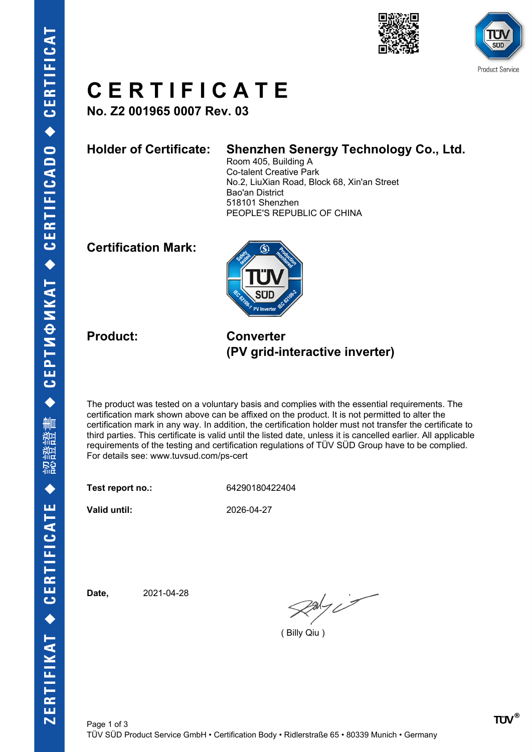



### **C E R T I F I C A T E**

**No. Z2 001965 0007 Rev. 03**

#### **Holder of Certificate: Shenzhen Senergy Technology Co., Ltd.**

Room 405, Building A Co-talent Creative Park No.2, LiuXian Road, Block 68, Xin'an Street Bao'an District 518101 Shenzhen PEOPLE'S REPUBLIC OF CHINA

### **Certification Mark:**



**Product: Converter (PV grid-interactive inverter)**

The product was tested on a voluntary basis and complies with the essential requirements. The certification mark shown above can be affixed on the product. It is not permitted to alter the certification mark in any way. In addition, the certification holder must not transfer the certificate to third parties. This certificate is valid until the listed date, unless it is cancelled earlier. All applicable requirements of the testing and certification regulations of TÜV SÜD Group have to be complied. For details see: www.tuvsud.com/ps-cert

**Test report no.:** 64290180422404

**Valid until:** 2026-04-27

**Date,** 2021-04-28

 $2a\frac{1}{2}i$ 

( Billy Qiu )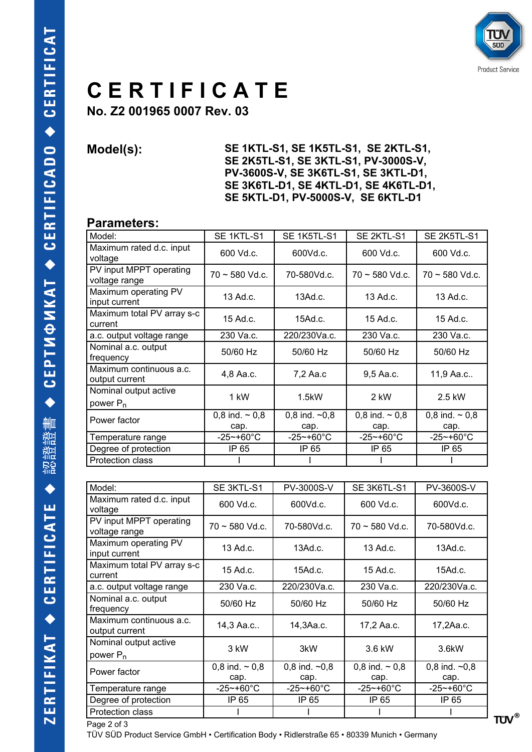

## **C E R T I F I C A T E**

**No. Z2 001965 0007 Rev. 03**

**Model(s): SE 1KTL-S1, SE 1K5TL-S1, SE 2KTL-S1, SE 2K5TL-S1, SE 3KTL-S1, PV-3000S-V, PV-3600S-V, SE 3K6TL-S1, SE 3KTL-D1, SE 3K6TL-D1, SE 4KTL-D1, SE 4K6TL-D1, SE 5KTL-D1, PV-5000S-V, SE 6KTL-D1** 

#### **Parameters:**

| Model:                                        | SE 1KTL-S1                  | SE 1K5TL-S1                        | SE 2KTL-S1                    | SE 2K5TL-S1                 |  |
|-----------------------------------------------|-----------------------------|------------------------------------|-------------------------------|-----------------------------|--|
| Maximum rated d.c. input<br>voltage           | 600 Vd.c.                   | 600Vd.c.                           | 600 Vd.c.                     | 600 Vd.c.                   |  |
| PV input MPPT operating<br>voltage range      | $70 \sim 580$ Vd.c.         | 70-580Vd.c.<br>$70 \sim 580$ Vd.c. |                               | $70 \sim 580$ Vd.c.         |  |
| Maximum operating PV<br>input current         | $13$ Ad.c.                  | 13Ad.c.                            | 13 Ad.c.                      | 13 Ad.c.                    |  |
| Maximum total PV array s-c<br>current         | 15 Ad.c.                    | 15Ad.c.                            | $15$ Ad.c.                    | $15$ Ad.c.                  |  |
| a.c. output voltage range                     | 230 Va.c.                   | 220/230Va.c.                       | 230 Va.c.                     | 230 Va.c.                   |  |
| Nominal a.c. output<br>frequency              | 50/60 Hz                    | 50/60 Hz                           | 50/60 Hz                      | 50/60 Hz                    |  |
| Maximum continuous a.c.<br>output current     | 4,8 Aa.c.                   | 7,2 Aa.c                           | 9,5 Aa.c.                     | 11,9 Aa.c                   |  |
| Nominal output active<br>power P <sub>n</sub> | 1 kW                        | 1.5kW                              | 2 kW                          | 2.5 kW                      |  |
| Power factor                                  | 0,8 ind. $\sim$ 0,8<br>cap. | 0,8 ind. $-0,8$<br>cap.            | $0,8$ ind. $\sim 0.8$<br>cap. | 0,8 ind. $\sim$ 0,8<br>cap. |  |
| Temperature range                             | $-25$ ~+60°C                | $-25$ ~+60°C                       | $-25$ ~+60 $^{\circ}$ C       | $-25$ ~+60 $^{\circ}$ C     |  |
| Degree of protection                          | IP 65                       | IP 65                              | IP 65                         | IP 65                       |  |
| <b>Protection class</b>                       |                             |                                    |                               |                             |  |

| Model:                                    | SE 3KTL-S1                  | PV-3000S-V<br>SE 3K6TL-S1 |                               | PV-3600S-V              |  |
|-------------------------------------------|-----------------------------|---------------------------|-------------------------------|-------------------------|--|
| Maximum rated d.c. input<br>voltage       | 600 Vd.c.                   | 600Vd.c.<br>600 Vd.c.     |                               | 600Vd.c.                |  |
| PV input MPPT operating<br>voltage range  | $70 \sim 580$ Vd.c.         | 70-580Vd.c.               | $70 \sim 580$ Vd.c.           | 70-580Vd.c.             |  |
| Maximum operating PV<br>input current     | $13$ Ad.c.                  | 13Ad.c.                   | 13 Ad.c.                      | 13Ad.c.                 |  |
| Maximum total PV array s-c<br>current     | $15$ Ad.c.                  | $15$ Ad.c.                | $15$ Ad.c.                    | $15$ Ad.c.              |  |
| a.c. output voltage range                 | 230 Va.c.                   | 220/230Va.c.              | 230 Va.c.                     | 220/230Va.c.            |  |
| Nominal a.c. output<br>frequency          | 50/60 Hz                    | 50/60 Hz                  | 50/60 Hz                      | 50/60 Hz                |  |
| Maximum continuous a.c.<br>output current | 14,3 Aa.c                   | 14,3Aa.c.                 | 17,2 Aa.c.                    | 17,2Aa.c.               |  |
| Nominal output active<br>power $P_n$      | 3 kW                        | 3kW                       | 3.6 kW                        | 3.6kW                   |  |
| Power factor                              | 0,8 ind. $\sim$ 0,8<br>cap. | 0,8 ind. $-0,8$<br>cap.   | $0,8$ ind. $\sim 0,8$<br>cap. | 0,8 ind. $-0,8$<br>cap. |  |
| Temperature range                         | $-25$ ~+60 $^{\circ}$ C     | $-25$ ~+60 $^{\circ}$ C   | $-25$ ~+60 $^{\circ}$ C       | -25~+60°C               |  |
| Degree of protection                      | IP 65                       | IP 65                     | IP 65                         | IP 65                   |  |
| Protection class                          |                             |                           |                               |                         |  |

Page 2 of 3

TÜV SÜD Product Service GmbH • Certification Body • Ridlerstraße 65 • 80339 Munich • Germany

**TÜV®**